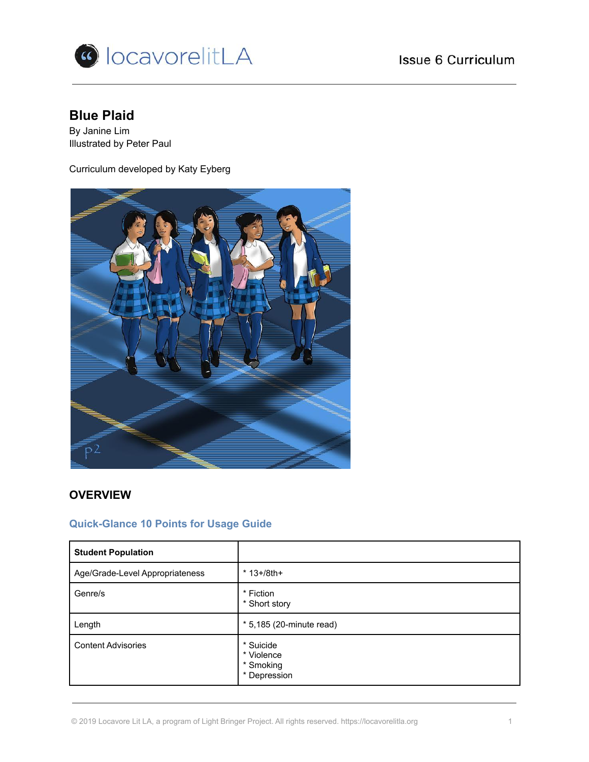

# **Blue Plaid**

By Janine Lim Illustrated by Peter Paul

Curriculum developed by Katy Eyberg



# **OVERVIEW**

# **Quick-Glance 10 Points for Usage Guide**

| <b>Student Population</b>       |                                                      |
|---------------------------------|------------------------------------------------------|
| Age/Grade-Level Appropriateness | $*$ 13+/8th+                                         |
| Genre/s                         | * Fiction<br>* Short story                           |
| Length                          | * 5,185 (20-minute read)                             |
| <b>Content Advisories</b>       | * Suicide<br>* Violence<br>* Smoking<br>* Depression |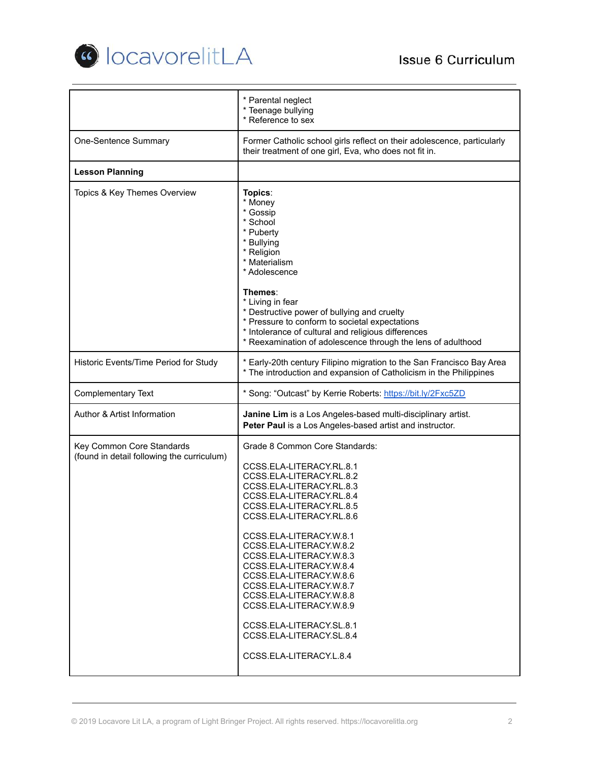

|                                                                         | * Parental neglect<br>* Teenage bullying<br>* Reference to sex                                                                                                                                                                                                                                                                                                                                                                                                                                                    |  |
|-------------------------------------------------------------------------|-------------------------------------------------------------------------------------------------------------------------------------------------------------------------------------------------------------------------------------------------------------------------------------------------------------------------------------------------------------------------------------------------------------------------------------------------------------------------------------------------------------------|--|
| One-Sentence Summary                                                    | Former Catholic school girls reflect on their adolescence, particularly<br>their treatment of one girl, Eva, who does not fit in.                                                                                                                                                                                                                                                                                                                                                                                 |  |
| <b>Lesson Planning</b>                                                  |                                                                                                                                                                                                                                                                                                                                                                                                                                                                                                                   |  |
| Topics & Key Themes Overview                                            | Topics:<br>* Money<br>* Gossip<br>* School<br>* Puberty<br>* Bullying<br>* Religion<br>* Materialism<br>* Adolescence                                                                                                                                                                                                                                                                                                                                                                                             |  |
|                                                                         | Themes:<br>* Living in fear<br>* Destructive power of bullying and cruelty<br>* Pressure to conform to societal expectations<br>* Intolerance of cultural and religious differences<br>* Reexamination of adolescence through the lens of adulthood                                                                                                                                                                                                                                                               |  |
| Historic Events/Time Period for Study                                   | * Early-20th century Filipino migration to the San Francisco Bay Area<br>* The introduction and expansion of Catholicism in the Philippines                                                                                                                                                                                                                                                                                                                                                                       |  |
| <b>Complementary Text</b>                                               | * Song: "Outcast" by Kerrie Roberts: https://bit.ly/2Fxc5ZD                                                                                                                                                                                                                                                                                                                                                                                                                                                       |  |
| Author & Artist Information                                             | Janine Lim is a Los Angeles-based multi-disciplinary artist.<br>Peter Paul is a Los Angeles-based artist and instructor.                                                                                                                                                                                                                                                                                                                                                                                          |  |
| Key Common Core Standards<br>(found in detail following the curriculum) | Grade 8 Common Core Standards:<br>CCSS.ELA-LITERACY.RL.8.1<br>CCSS.ELA-LITERACY.RL.8.2<br>CCSS.ELA-LITERACY.RL.8.3<br>CCSS.ELA-LITERACY.RL.8.4<br>CCSS.ELA-LITERACY.RL.8.5<br>CCSS.ELA-LITERACY.RL.8.6<br>CCSS.ELA-LITERACY.W.8.1<br>CCSS.ELA-LITERACY.W.8.2<br>CCSS.ELA-LITERACY.W.8.3<br>CCSS.ELA-LITERACY.W.8.4<br>CCSS.ELA-LITERACY.W.8.6<br>CCSS.ELA-LITERACY.W.8.7<br>CCSS.ELA-LITERACY.W.8.8<br>CCSS.ELA-LITERACY.W.8.9<br>CCSS.ELA-LITERACY.SL.8.1<br>CCSS.ELA-LITERACY.SL.8.4<br>CCSS.ELA-LITERACY.L.8.4 |  |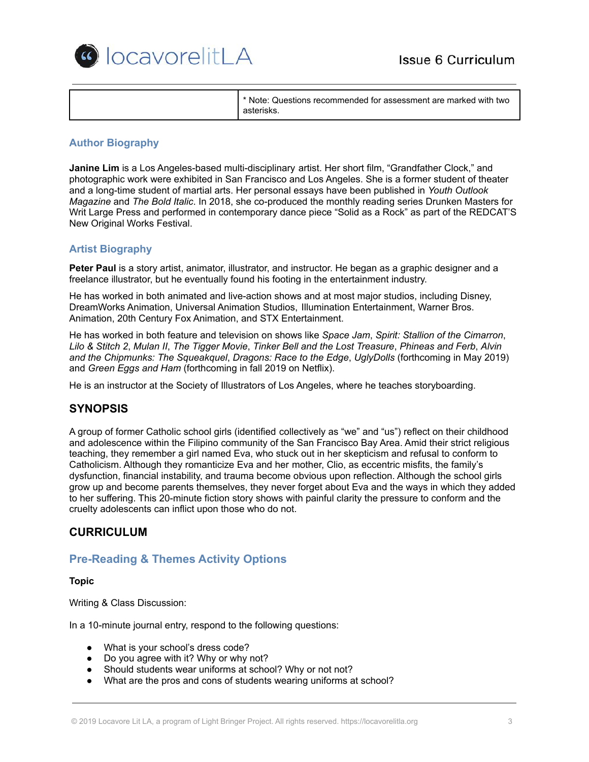

### **Author Biography**

**Janine Lim** is a Los Angeles-based multi-disciplinary artist. Her short film, "Grandfather Clock," and photographic work were exhibited in San Francisco and Los Angeles. She is a former student of theater and a long-time student of martial arts. Her personal essays have been published in *Youth Outlook Magazine* and *The Bold Italic*. In 2018, she co-produced the monthly reading series Drunken Masters for Writ Large Press and performed in contemporary dance piece "Solid as a Rock" as part of the REDCAT'S New Original Works Festival.

### **Artist Biography**

**Peter Paul** is a story artist, animator, illustrator, and instructor. He began as a graphic designer and a freelance illustrator, but he eventually found his footing in the entertainment industry.

He has worked in both animated and live-action shows and at most major studios, including Disney, DreamWorks Animation, Universal Animation Studios, Illumination Entertainment, Warner Bros. Animation, 20th Century Fox Animation, and STX Entertainment.

He has worked in both feature and television on shows like *Space Jam*, *Spirit: Stallion of the Cimarron*, Lilo & Stitch 2, Mulan II, The Tigger Movie, Tinker Bell and the Lost Treasure, Phineas and Ferb, Alvin *and the Chipmunks: The Squeakquel*, *Dragons: Race to the Edge*, *UglyDolls* (forthcoming in May 2019) and *Green Eggs and Ham* (forthcoming in fall 2019 on Netflix).

He is an instructor at the Society of Illustrators of Los Angeles, where he teaches storyboarding.

# **SYNOPSIS**

A group of former Catholic school girls (identified collectively as "we" and "us") reflect on their childhood and adolescence within the Filipino community of the San Francisco Bay Area. Amid their strict religious teaching, they remember a girl named Eva, who stuck out in her skepticism and refusal to conform to Catholicism. Although they romanticize Eva and her mother, Clio, as eccentric misfits, the family's dysfunction, financial instability, and trauma become obvious upon reflection. Although the school girls grow up and become parents themselves, they never forget about Eva and the ways in which they added to her suffering. This 20-minute fiction story shows with painful clarity the pressure to conform and the cruelty adolescents can inflict upon those who do not.

### **CURRICULUM**

### **Pre-Reading & Themes Activity Options**

**Topic**

Writing & Class Discussion:

In a 10-minute journal entry, respond to the following questions:

- What is your school's dress code?
- Do you agree with it? Why or why not?
- Should students wear uniforms at school? Why or not not?
- What are the pros and cons of students wearing uniforms at school?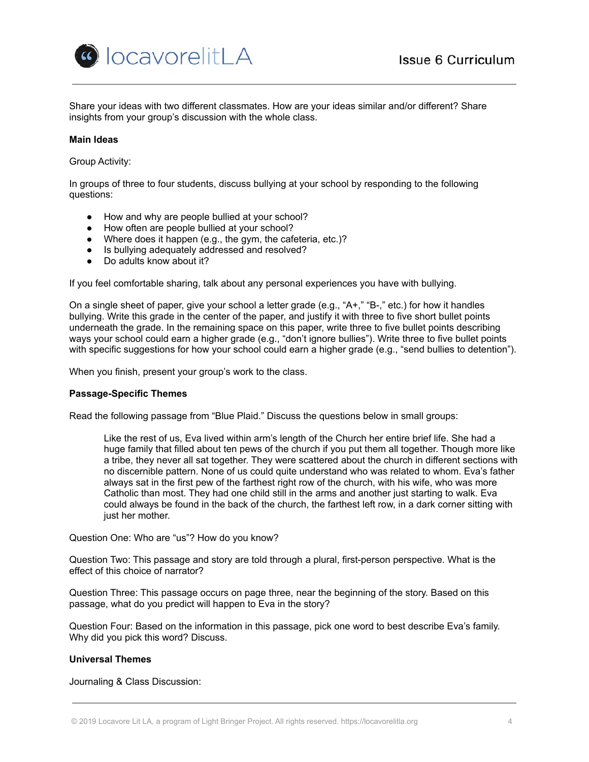

Share your ideas with two different classmates. How are your ideas similar and/or different? Share insights from your group's discussion with the whole class.

#### **Main Ideas**

Group Activity:

In groups of three to four students, discuss bullying at your school by responding to the following questions:

- How and why are people bullied at your school?
- How often are people bullied at your school?
- Where does it happen (e.g., the gym, the cafeteria, etc.)?
- Is bullying adequately addressed and resolved?
- Do adults know about it?

If you feel comfortable sharing, talk about any personal experiences you have with bullying.

On a single sheet of paper, give your school a letter grade (e.g., "A+," "B-," etc.) for how it handles bullying. Write this grade in the center of the paper, and justify it with three to five short bullet points underneath the grade. In the remaining space on this paper, write three to five bullet points describing ways your school could earn a higher grade (e.g., "don't ignore bullies"). Write three to five bullet points with specific suggestions for how your school could earn a higher grade (e.g., "send bullies to detention").

When you finish, present your group's work to the class.

#### **Passage-Specific Themes**

Read the following passage from "Blue Plaid." Discuss the questions below in small groups:

Like the rest of us, Eva lived within arm's length of the Church her entire brief life. She had a huge family that filled about ten pews of the church if you put them all together. Though more like a tribe, they never all sat together. They were scattered about the church in different sections with no discernible pattern. None of us could quite understand who was related to whom. Eva's father always sat in the first pew of the farthest right row of the church, with his wife, who was more Catholic than most. They had one child still in the arms and another just starting to walk. Eva could always be found in the back of the church, the farthest left row, in a dark corner sitting with just her mother.

Question One: Who are "us"? How do you know?

Question Two: This passage and story are told through a plural, first-person perspective. What is the effect of this choice of narrator?

Question Three: This passage occurs on page three, near the beginning of the story. Based on this passage, what do you predict will happen to Eva in the story?

Question Four: Based on the information in this passage, pick one word to best describe Eva's family. Why did you pick this word? Discuss.

#### **Universal Themes**

Journaling & Class Discussion: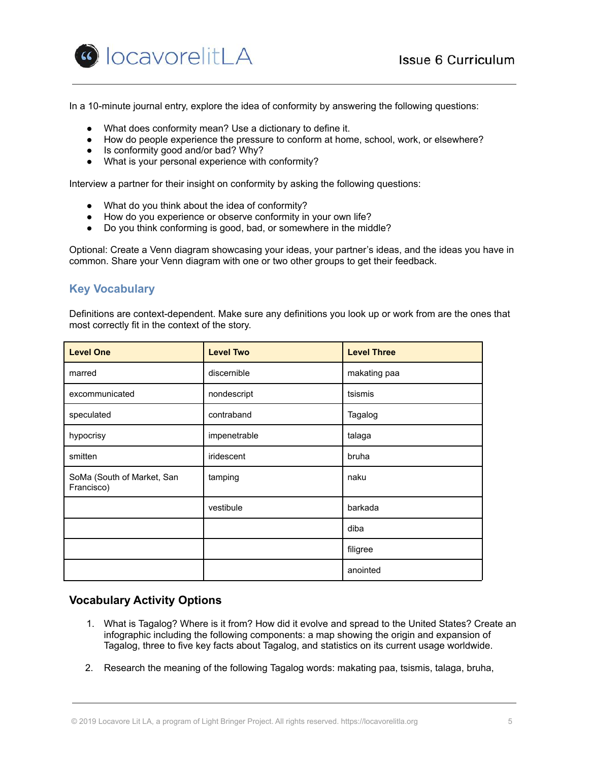

ColocavorelitLA

In a 10-minute journal entry, explore the idea of conformity by answering the following questions:

- What does conformity mean? Use a dictionary to define it.
- How do people experience the pressure to conform at home, school, work, or elsewhere?
- Is conformity good and/or bad? Why?
- What is your personal experience with conformity?

Interview a partner for their insight on conformity by asking the following questions:

- What do you think about the idea of conformity?
- How do you experience or observe conformity in your own life?
- Do you think conforming is good, bad, or somewhere in the middle?

Optional: Create a Venn diagram showcasing your ideas, your partner's ideas, and the ideas you have in common. Share your Venn diagram with one or two other groups to get their feedback.

### **Key Vocabulary**

Definitions are context-dependent. Make sure any definitions you look up or work from are the ones that most correctly fit in the context of the story.

| <b>Level One</b>                         | <b>Level Two</b> | <b>Level Three</b> |
|------------------------------------------|------------------|--------------------|
| marred                                   | discernible      | makating paa       |
| excommunicated                           | nondescript      | tsismis            |
| speculated                               | contraband       | Tagalog            |
| hypocrisy                                | impenetrable     | talaga             |
| smitten                                  | iridescent       | bruha              |
| SoMa (South of Market, San<br>Francisco) | tamping          | naku               |
|                                          | vestibule        | barkada            |
|                                          |                  | diba               |
|                                          |                  | filigree           |
|                                          |                  | anointed           |

### **Vocabulary Activity Options**

- 1. What is Tagalog? Where is it from? How did it evolve and spread to the United States? Create an infographic including the following components: a map showing the origin and expansion of Tagalog, three to five key facts about Tagalog, and statistics on its current usage worldwide.
- 2. Research the meaning of the following Tagalog words: makating paa, tsismis, talaga, bruha,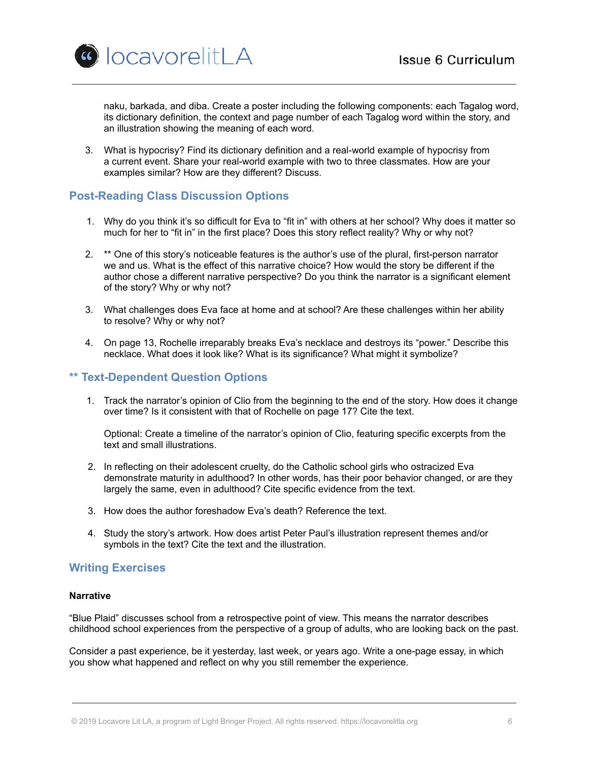

naku, barkada, and diba. Create a poster including the following components: each Tagalog word, its dictionary definition, the context and page number of each Tagalog word within the story, and an illustration showing the meaning of each word.

3. What is hypocrisy? Find its dictionary definition and a real-world example of hypocrisy from a current event. Share your real-world example with two to three classmates. How are your examples similar? How are they different? Discuss.

# **Post-Reading Class Discussion Options**

- 1. Why do you think it's so difficult for Eva to "fit in" with others at her school? Why does it matter so much for her to "fit in" in the first place? Does this story reflect reality? Why or why not?
- 2. \*\* One of this story's noticeable features is the author's use of the plural, first-person narrator we and us. What is the effect of this narrative choice? How would the story be different if the author chose a different narrative perspective? Do you think the narrator is a significant element of the story? Why or why not?
- 3. What challenges does Eva face at home and at school? Are these challenges within her ability to resolve? Why or why not?
- 4. On page 13, Rochelle irreparably breaks Eva's necklace and destroys its "power." Describe this necklace. What does it look like? What is its significance? What might it symbolize?

# **\*\* Text-Dependent Question Options**

1. Track the narrator's opinion of Clio from the beginning to the end of the story. How does it change over time? Is it consistent with that of Rochelle on page 17? Cite the text.

Optional: Create a timeline of the narrator's opinion of Clio, featuring specific excerpts from the text and small illustrations.

- 2. In reflecting on their adolescent cruelty, do the Catholic school girls who ostracized Eva demonstrate maturity in adulthood? In other words, has their poor behavior changed, or are they largely the same, even in adulthood? Cite specific evidence from the text.
- 3. How does the author foreshadow Eva's death? Reference the text.
- 4. Study the story's artwork. How does artist Peter Paul's illustration represent themes and/or symbols in the text? Cite the text and the illustration.

### **Writing Exercises**

#### **Narrative**

"Blue Plaid" discusses school from a retrospective point of view. This means the narrator describes childhood school experiences from the perspective of a group of adults, who are looking back on the past.

Consider a past experience, be it yesterday, last week, or years ago. Write a one-page essay, in which you show what happened and reflect on why you still remember the experience.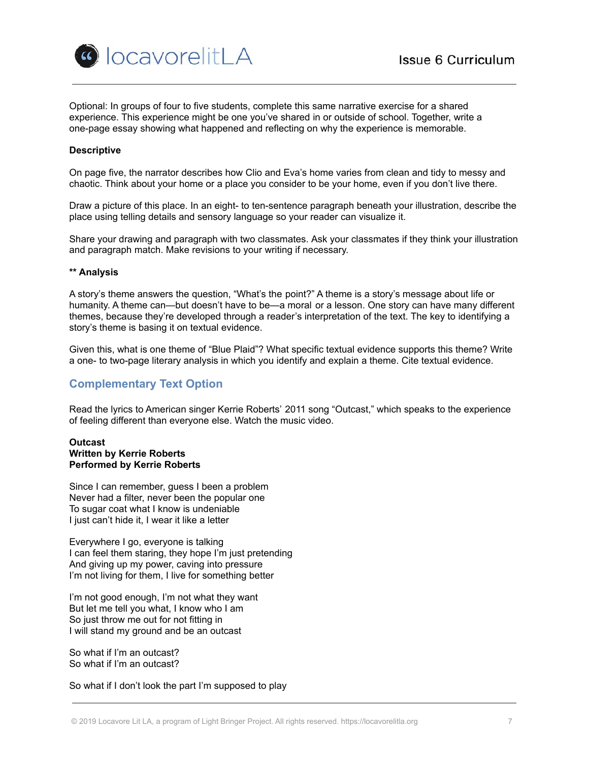

Optional: In groups of four to five students, complete this same narrative exercise for a shared experience. This experience might be one you've shared in or outside of school. Together, write a one-page essay showing what happened and reflecting on why the experience is memorable.

#### **Descriptive**

On page five, the narrator describes how Clio and Eva's home varies from clean and tidy to messy and chaotic. Think about your home or a place you consider to be your home, even if you don't live there.

Draw a picture of this place. In an eight- to ten-sentence paragraph beneath your illustration, describe the place using telling details and sensory language so your reader can visualize it.

Share your drawing and paragraph with two classmates. Ask your classmates if they think your illustration and paragraph match. Make revisions to your writing if necessary.

#### **\*\* Analysis**

A story's theme answers the question, "What's the point?" A theme is a story's message about life or humanity. A theme can—but doesn't have to be—a moral or a lesson. One story can have many different themes, because they're developed through a reader's interpretation of the text. The key to identifying a story's theme is basing it on textual evidence.

Given this, what is one theme of "Blue Plaid"? What specific textual evidence supports this theme? Write a one- to two-page literary analysis in which you identify and explain a theme. Cite textual evidence.

### **Complementary Text Option**

Read the lyrics to American singer Kerrie Roberts' 2011 song "Outcast," which speaks to the experience of feeling different than everyone else. Watch the music video.

#### **Outcast Written by Kerrie Roberts Performed by Kerrie Roberts**

Since I can remember, guess I been a problem Never had a filter, never been the popular one To sugar coat what I know is undeniable I just can't hide it, I wear it like a letter

Everywhere I go, everyone is talking I can feel them staring, they hope I'm just pretending And giving up my power, caving into pressure I'm not living for them, I live for something better

I'm not good enough, I'm not what they want But let me tell you what, I know who I am So just throw me out for not fitting in I will stand my ground and be an outcast

So what if I'm an outcast? So what if I'm an outcast?

So what if I don't look the part I'm supposed to play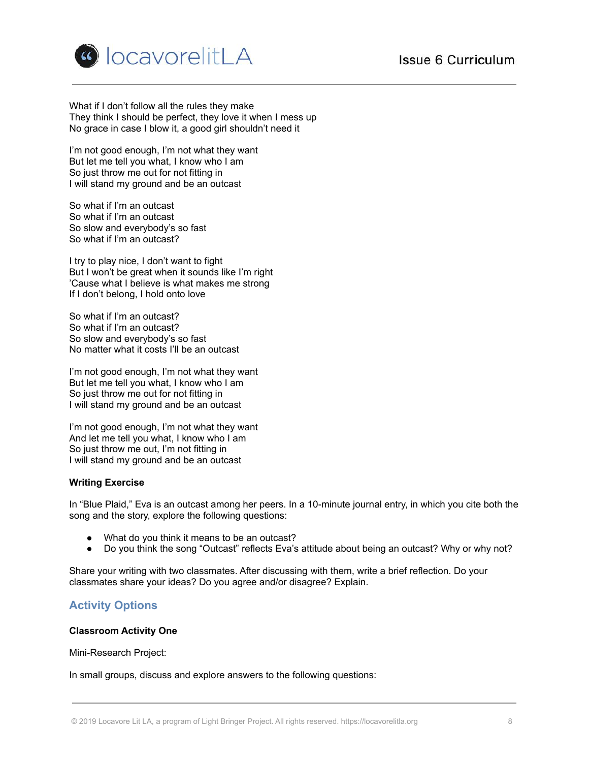

What if I don't follow all the rules they make They think I should be perfect, they love it when I mess up No grace in case I blow it, a good girl shouldn't need it

I'm not good enough, I'm not what they want But let me tell you what, I know who I am So just throw me out for not fitting in I will stand my ground and be an outcast

So what if I'm an outcast So what if I'm an outcast So slow and everybody's so fast So what if I'm an outcast?

I try to play nice, I don't want to fight But I won't be great when it sounds like I'm right 'Cause what I believe is what makes me strong If I don't belong, I hold onto love

So what if I'm an outcast? So what if I'm an outcast? So slow and everybody's so fast No matter what it costs I'll be an outcast

I'm not good enough, I'm not what they want But let me tell you what, I know who I am So just throw me out for not fitting in I will stand my ground and be an outcast

I'm not good enough, I'm not what they want And let me tell you what, I know who I am So just throw me out, I'm not fitting in I will stand my ground and be an outcast

#### **Writing Exercise**

In "Blue Plaid," Eva is an outcast among her peers. In a 10-minute journal entry, in which you cite both the song and the story, explore the following questions:

- What do you think it means to be an outcast?
- Do you think the song "Outcast" reflects Eva's attitude about being an outcast? Why or why not?

Share your writing with two classmates. After discussing with them, write a brief reflection. Do your classmates share your ideas? Do you agree and/or disagree? Explain.

# **Activity Options**

#### **Classroom Activity One**

Mini-Research Project:

In small groups, discuss and explore answers to the following questions: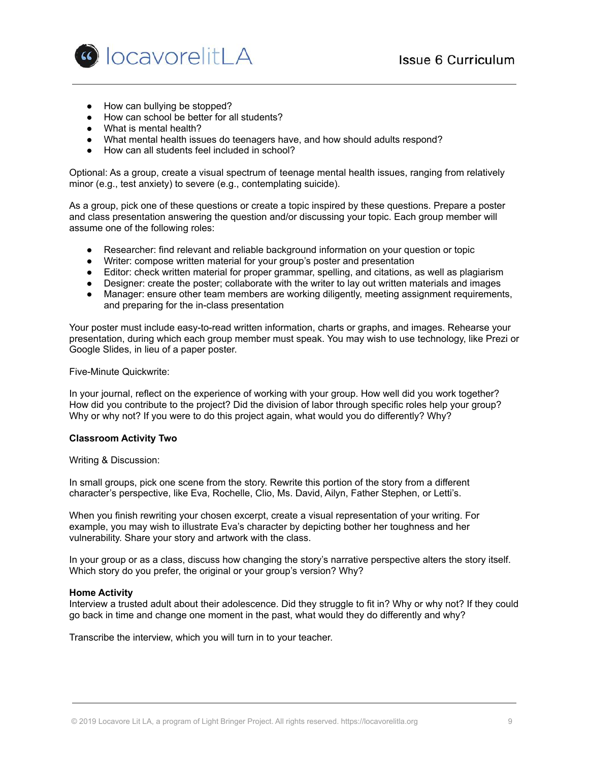

- How can bullying be stopped?
- How can school be better for all students?
- What is mental health?
- What mental health issues do teenagers have, and how should adults respond?
- How can all students feel included in school?

Optional: As a group, create a visual spectrum of teenage mental health issues, ranging from relatively minor (e.g., test anxiety) to severe (e.g., contemplating suicide).

As a group, pick one of these questions or create a topic inspired by these questions. Prepare a poster and class presentation answering the question and/or discussing your topic. Each group member will assume one of the following roles:

- Researcher: find relevant and reliable background information on your question or topic
- Writer: compose written material for your group's poster and presentation
- Editor: check written material for proper grammar, spelling, and citations, as well as plagiarism
- Designer: create the poster; collaborate with the writer to lay out written materials and images
- Manager: ensure other team members are working diligently, meeting assignment requirements, and preparing for the in-class presentation

Your poster must include easy-to-read written information, charts or graphs, and images. Rehearse your presentation, during which each group member must speak. You may wish to use technology, like Prezi or Google Slides, in lieu of a paper poster.

#### Five-Minute Quickwrite:

In your journal, reflect on the experience of working with your group. How well did you work together? How did you contribute to the project? Did the division of labor through specific roles help your group? Why or why not? If you were to do this project again, what would you do differently? Why?

#### **Classroom Activity Two**

Writing & Discussion:

In small groups, pick one scene from the story. Rewrite this portion of the story from a different character's perspective, like Eva, Rochelle, Clio, Ms. David, Ailyn, Father Stephen, or Letti's.

When you finish rewriting your chosen excerpt, create a visual representation of your writing. For example, you may wish to illustrate Eva's character by depicting bother her toughness and her vulnerability. Share your story and artwork with the class.

In your group or as a class, discuss how changing the story's narrative perspective alters the story itself. Which story do you prefer, the original or your group's version? Why?

#### **Home Activity**

Interview a trusted adult about their adolescence. Did they struggle to fit in? Why or why not? If they could go back in time and change one moment in the past, what would they do differently and why?

Transcribe the interview, which you will turn in to your teacher.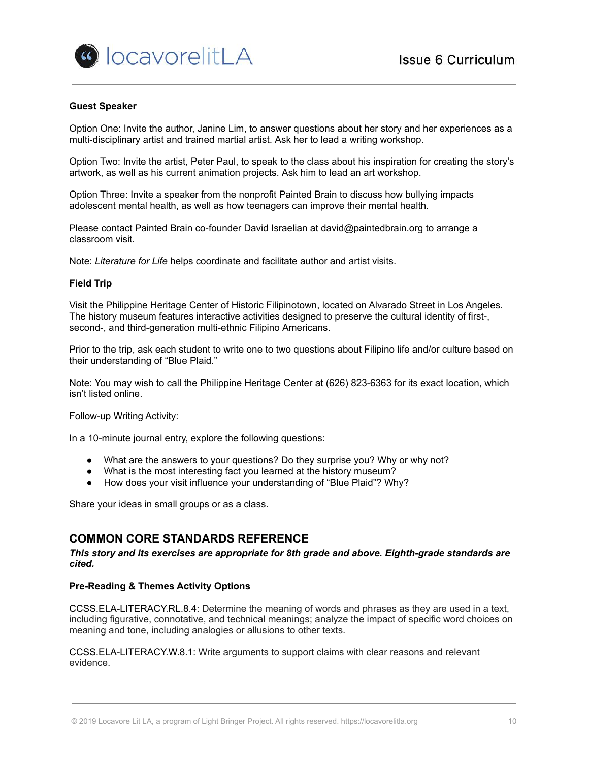

#### **Guest Speaker**

Option One: Invite the author, Janine Lim, to answer questions about her story and her experiences as a multi-disciplinary artist and trained martial artist. Ask her to lead a writing workshop.

Option Two: Invite the artist, Peter Paul, to speak to the class about his inspiration for creating the story's artwork, as well as his current animation projects. Ask him to lead an art workshop.

Option Three: Invite a speaker from the nonprofit Painted Brain to discuss how bullying impacts adolescent mental health, as well as how teenagers can improve their mental health.

Please contact Painted Brain co-founder David Israelian at [david@paintedbrain.org](mailto:david@paintedbrain.org) to arrange a classroom visit.

Note: *Literature for Life* helps coordinate and facilitate author and artist visits.

#### **Field Trip**

Visit the Philippine Heritage Center of Historic Filipinotown, located on Alvarado Street in Los Angeles. The history museum features interactive activities designed to preserve the cultural identity of first-, second-, and third-generation multi-ethnic Filipino Americans.

Prior to the trip, ask each student to write one to two questions about Filipino life and/or culture based on their understanding of "Blue Plaid."

Note: You may wish to call the Philippine Heritage Center at (626) 823-6363 for its exact location, which isn't listed online.

Follow-up Writing Activity:

In a 10-minute journal entry, explore the following questions:

- What are the answers to your questions? Do they surprise you? Why or why not?
- What is the most interesting fact you learned at the history museum?
- How does your visit influence your understanding of "Blue Plaid"? Why?

Share your ideas in small groups or as a class.

### **COMMON CORE STANDARDS REFERENCE**

*This story and its exercises are appropriate for 8th grade and above. Eighth-grade standards are cited.*

#### **Pre-Reading & Themes Activity Options**

CCSS.ELA-LITERACY.RL.8.4: Determine the meaning of words and phrases as they are used in a text, including figurative, connotative, and technical meanings; analyze the impact of specific word choices on meaning and tone, including analogies or allusions to other texts.

CCSS.ELA-LITERACY.W.8.1: Write arguments to support claims with clear reasons and relevant evidence.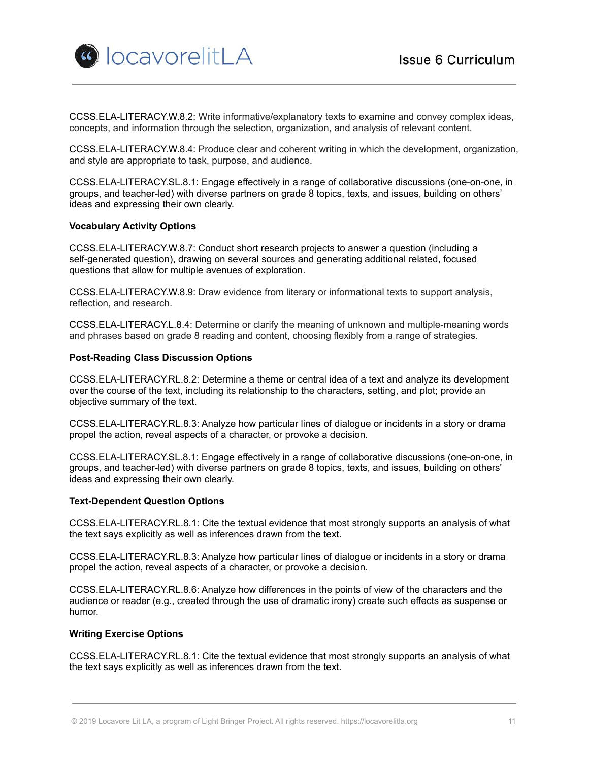

CCSS.ELA-LITERACY.W.8.2: Write informative/explanatory texts to examine and convey complex ideas, concepts, and information through the selection, organization, and analysis of relevant content.

CCSS.ELA-LITERACY.W.8.4: Produce clear and coherent writing in which the development, organization, and style are appropriate to task, purpose, and audience.

CCSS.ELA-LITERACY.SL.8.1: Engage effectively in a range of collaborative discussions (one-on-one, in groups, and teacher-led) with diverse partners on grade 8 topics, texts, and issues, building on others' ideas and expressing their own clearly.

#### **Vocabulary Activity Options**

CCSS.ELA-LITERACY.W.8.7: Conduct short research projects to answer a question (including a self-generated question), drawing on several sources and generating additional related, focused questions that allow for multiple avenues of exploration.

CCSS.ELA-LITERACY.W.8.9: Draw evidence from literary or informational texts to support analysis, reflection, and research.

CCSS.ELA-LITERACY.L.8.4: Determine or clarify the meaning of unknown and multiple-meaning words and phrases based on grade 8 reading and content, choosing flexibly from a range of strategies.

#### **Post-Reading Class Discussion Options**

CCSS.ELA-LITERACY.RL.8.2: Determine a theme or central idea of a text and analyze its development over the course of the text, including its relationship to the characters, setting, and plot; provide an objective summary of the text.

CCSS.ELA-LITERACY.RL.8.3: Analyze how particular lines of dialogue or incidents in a story or drama propel the action, reveal aspects of a character, or provoke a decision.

[CCSS.ELA-LITERACY.SL.8.1](http://www.corestandards.org/ELA-Literacy/SL/8/1/): Engage effectively in a range of collaborative discussions (one-on-one, in groups, and teacher-led) with diverse partners on grade 8 topics, texts, and issues, building on others' ideas and expressing their own clearly.

#### **Text-Dependent Question Options**

CCSS.ELA-LITERACY.RL.8.1: Cite the textual evidence that most strongly supports an analysis of what the text says explicitly as well as inferences drawn from the text.

CCSS.ELA-LITERACY.RL.8.3: Analyze how particular lines of dialogue or incidents in a story or drama propel the action, reveal aspects of a character, or provoke a decision.

CCSS.ELA-LITERACY.RL.8.6: Analyze how differences in the points of view of the characters and the audience or reader (e.g., created through the use of dramatic irony) create such effects as suspense or humor.

#### **Writing Exercise Options**

CCSS.ELA-LITERACY.RL.8.1: Cite the textual evidence that most strongly supports an analysis of what the text says explicitly as well as inferences drawn from the text.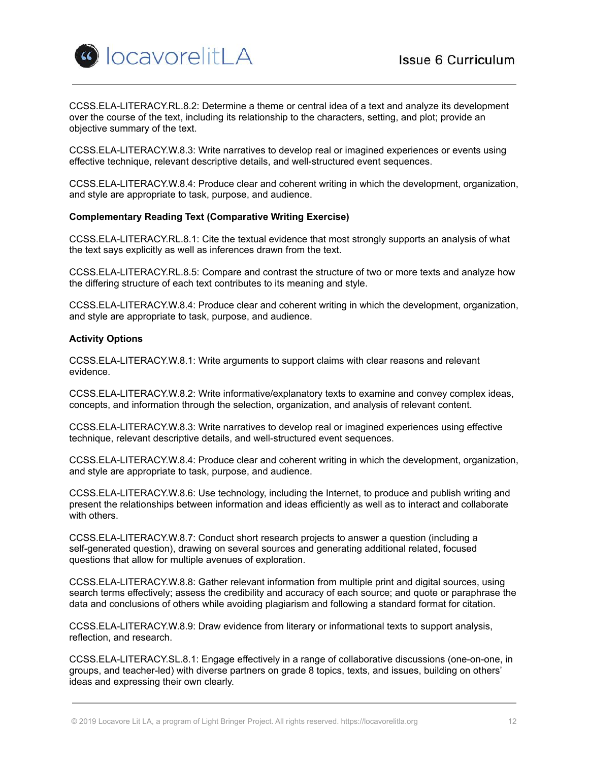

CCSS.ELA-LITERACY.RL.8.2: Determine a theme or central idea of a text and analyze its development over the course of the text, including its relationship to the characters, setting, and plot; provide an objective summary of the text.

CCSS.ELA-LITERACY.W.8.3: Write narratives to develop real or imagined experiences or events using effective technique, relevant descriptive details, and well-structured event sequences.

CCSS.ELA-LITERACY.W.8.4: Produce clear and coherent writing in which the development, organization, and style are appropriate to task, purpose, and audience.

#### **Complementary Reading Text (Comparative Writing Exercise)**

CCSS.ELA-LITERACY.RL.8.1: Cite the textual evidence that most strongly supports an analysis of what the text says explicitly as well as inferences drawn from the text.

CCSS.ELA-LITERACY.RL.8.5: Compare and contrast the structure of two or more texts and analyze how the differing structure of each text contributes to its meaning and style.

CCSS.ELA-LITERACY.W.8.4: Produce clear and coherent writing in which the development, organization, and style are appropriate to task, purpose, and audience.

### **Activity Options**

CCSS.ELA-LITERACY.W.8.1: Write arguments to support claims with clear reasons and relevant evidence.

CCSS.ELA-LITERACY.W.8.2: Write informative/explanatory texts to examine and convey complex ideas, concepts, and information through the selection, organization, and analysis of relevant content.

CCSS.ELA-LITERACY.W.8.3: Write narratives to develop real or imagined experiences using effective technique, relevant descriptive details, and well-structured event sequences.

CCSS.ELA-LITERACY.W.8.4: Produce clear and coherent writing in which the development, organization, and style are appropriate to task, purpose, and audience.

CCSS.ELA-LITERACY.W.8.6: Use technology, including the Internet, to produce and publish writing and present the relationships between information and ideas efficiently as well as to interact and collaborate with others.

CCSS.ELA-LITERACY.W.8.7: Conduct short research projects to answer a question (including a self-generated question), drawing on several sources and generating additional related, focused questions that allow for multiple avenues of exploration.

CCSS.ELA-LITERACY.W.8.8: Gather relevant information from multiple print and digital sources, using search terms effectively; assess the credibility and accuracy of each source; and quote or paraphrase the data and conclusions of others while avoiding plagiarism and following a standard format for citation.

CCSS.ELA-LITERACY.W.8.9: Draw evidence from literary or informational texts to support analysis, reflection, and research.

CCSS.ELA-LITERACY.SL.8.1: Engage effectively in a range of collaborative discussions (one-on-one, in groups, and teacher-led) with diverse partners on grade 8 topics, texts, and issues, building on others' ideas and expressing their own clearly.